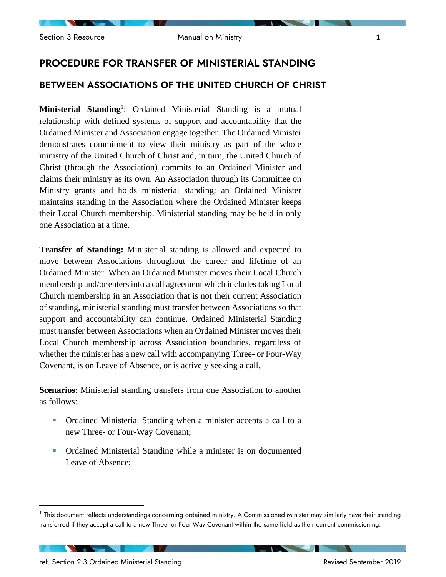# PROCEDURE FOR TRANSFER OF MINISTERIAL STANDING

## BETWEEN ASSOCIATIONS OF THE UNITED CHURCH OF CHRIST

Ministerial Standing<sup>1</sup>: Ordained Ministerial Standing is a mutual relationship with defined systems of support and accountability that the Ordained Minister and Association engage together. The Ordained Minister demonstrates commitment to view their ministry as part of the whole ministry of the United Church of Christ and, in turn, the United Church of Christ (through the Association) commits to an Ordained Minister and claims their ministry as its own. An Association through its Committee on Ministry grants and holds ministerial standing; an Ordained Minister maintains standing in the Association where the Ordained Minister keeps their Local Church membership. Ministerial standing may be held in only one Association at a time.

**Transfer of Standing:** Ministerial standing is allowed and expected to move between Associations throughout the career and lifetime of an Ordained Minister. When an Ordained Minister moves their Local Church membership and/or enters into a call agreement which includes taking Local Church membership in an Association that is not their current Association of standing, ministerial standing must transfer between Associations so that support and accountability can continue. Ordained Ministerial Standing must transfer between Associations when an Ordained Minister moves their Local Church membership across Association boundaries, regardless of whether the minister has a new call with accompanying Three- or Four-Way Covenant, is on Leave of Absence, or is actively seeking a call.

**Scenarios**: Ministerial standing transfers from one Association to another as follows:

- Ordained Ministerial Standing when a minister accepts a call to a new Three- or Four-Way Covenant;
- Ordained Ministerial Standing while a minister is on documented Leave of Absence;

**Contract Contract Contract Contract** 

 $^{\rm 1}$  This document reflects understandings concerning ordained ministry. A Commissioned Minister may similarly have their standing transferred if they accept a call to a new Three- or Four-Way Covenant within the same field as their current commissioning.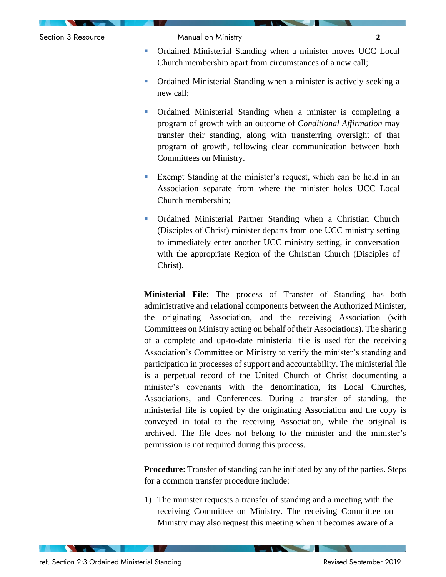

- Ordained Ministerial Standing when a minister moves UCC Local Church membership apart from circumstances of a new call;
- Ordained Ministerial Standing when a minister is actively seeking a new call;
- Ordained Ministerial Standing when a minister is completing a program of growth with an outcome of *Conditional Affirmation* may transfer their standing, along with transferring oversight of that program of growth, following clear communication between both Committees on Ministry.
- Exempt Standing at the minister's request, which can be held in an Association separate from where the minister holds UCC Local Church membership;
- Ordained Ministerial Partner Standing when a Christian Church (Disciples of Christ) minister departs from one UCC ministry setting to immediately enter another UCC ministry setting, in conversation with the appropriate Region of the Christian Church (Disciples of Christ).

**Ministerial File**: The process of Transfer of Standing has both administrative and relational components between the Authorized Minister, the originating Association, and the receiving Association (with Committees on Ministry acting on behalf of their Associations). The sharing of a complete and up-to-date ministerial file is used for the receiving Association's Committee on Ministry to verify the minister's standing and participation in processes of support and accountability. The ministerial file is a perpetual record of the United Church of Christ documenting a minister's covenants with the denomination, its Local Churches, Associations, and Conferences. During a transfer of standing, the ministerial file is copied by the originating Association and the copy is conveyed in total to the receiving Association, while the original is archived. The file does not belong to the minister and the minister's permission is not required during this process.

**Procedure**: Transfer of standing can be initiated by any of the parties. Steps for a common transfer procedure include:

1) The minister requests a transfer of standing and a meeting with the receiving Committee on Ministry. The receiving Committee on Ministry may also request this meeting when it becomes aware of a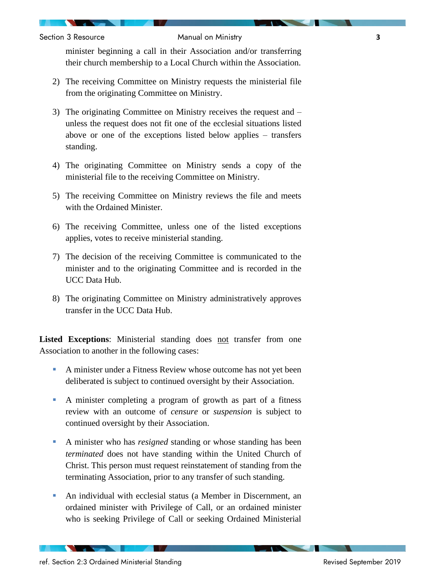Section 3 Resource Manual on Ministry **3**

minister beginning a call in their Association and/or transferring their church membership to a Local Church within the Association.

- 2) The receiving Committee on Ministry requests the ministerial file from the originating Committee on Ministry.
- 3) The originating Committee on Ministry receives the request and unless the request does not fit one of the ecclesial situations listed above or one of the exceptions listed below applies – transfers standing.
- 4) The originating Committee on Ministry sends a copy of the ministerial file to the receiving Committee on Ministry.
- 5) The receiving Committee on Ministry reviews the file and meets with the Ordained Minister.
- 6) The receiving Committee, unless one of the listed exceptions applies, votes to receive ministerial standing.
- 7) The decision of the receiving Committee is communicated to the minister and to the originating Committee and is recorded in the UCC Data Hub.
- 8) The originating Committee on Ministry administratively approves transfer in the UCC Data Hub.

**Listed Exceptions**: Ministerial standing does not transfer from one Association to another in the following cases:

- A minister under a Fitness Review whose outcome has not yet been deliberated is subject to continued oversight by their Association.
- A minister completing a program of growth as part of a fitness review with an outcome of *censure* or *suspension* is subject to continued oversight by their Association.
- A minister who has *resigned* standing or whose standing has been *terminated* does not have standing within the United Church of Christ. This person must request reinstatement of standing from the terminating Association, prior to any transfer of such standing.
- An individual with ecclesial status (a Member in Discernment, an ordained minister with Privilege of Call, or an ordained minister who is seeking Privilege of Call or seeking Ordained Ministerial

**The Second Second Second**